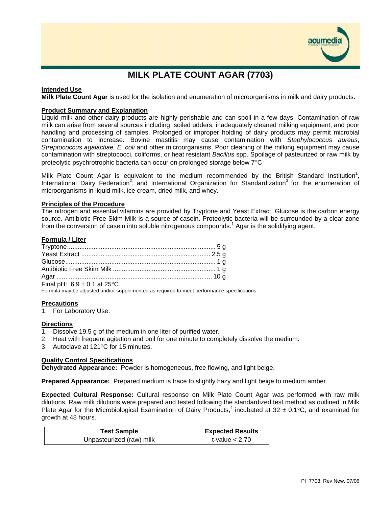

# **MILK PLATE COUNT AGAR (7703)**

## **Intended Use**

**Milk Plate Count Agar** is used for the isolation and enumeration of microorganisms in milk and dairy products.

## **Product Summary and Explanation**

Liquid milk and other dairy products are highly perishable and can spoil in a few days. Contamination of raw milk can arise from several sources including, soiled udders, inadequately cleaned milking equipment, and poor handling and processing of samples. Prolonged or improper holding of dairy products may permit microbial contamination to increase. Bovine mastitis may cause contamination with *Staphylococcus aureus*, *Streptococcus agalactiae, E. coli* and other microorganisms. Poor cleaning of the milking equipment may cause contamination with streptococci, coliforms, or heat resistant *Bacillus* spp. Spoilage of pasteurized or raw milk by proteolytic psychrotrophic bacteria can occur on prolonged storage below 7°C

Milk Plate Count Agar is equivalent to the medium recommended by the British Standard Institution<sup>1</sup>, International Dairy Federation<sup>2</sup>, and International Organization for Standardization<sup>3</sup> for the enumeration of microorganisms in liquid milk, ice cream, dried milk, and whey.

## **Principles of the Procedure**

The nitrogen and essential vitamins are provided by Tryptone and Yeast Extract. Glucose is the carbon energy source. Antibiotic Free Skim Milk is a source of casein. Proteolytic bacteria will be surrounded by a clear zone from the conversion of casein into soluble nitrogenous compounds.<sup>1</sup> Agar is the solidifying agent.

## **Formula / Liter**

| Find All C.0.04 at 250C |  |
|-------------------------|--|

Final pH:  $6.9 \pm 0.1$  at 25°C

Formula may be adjusted and/or supplemented as required to meet performance specifications.

## **Precautions**

1. For Laboratory Use.

## **Directions**

- 1. Dissolve 19.5 g of the medium in one liter of purified water.
- 2. Heat with frequent agitation and boil for one minute to completely dissolve the medium.
- 3. Autoclave at 121°C for 15 minutes.

## **Quality Control Specifications**

**Dehydrated Appearance:** Powder is homogeneous, free flowing, and light beige.

**Prepared Appearance:** Prepared medium is trace to slightly hazy and light beige to medium amber.

**Expected Cultural Response:** Cultural response on Milk Plate Count Agar was performed with raw milk dilutions. Raw milk dilutions were prepared and tested following the standardized test method as outlined in Milk Plate Agar for the Microbiological Examination of Dairy Products,<sup>4</sup> incubated at 32  $\pm$  0.1°C, and examined for growth at 48 hours.

| <b>Test Sample</b>       | <b>Expected Results</b> |
|--------------------------|-------------------------|
| Unpasteurized (raw) milk | t-value $< 2.70$        |